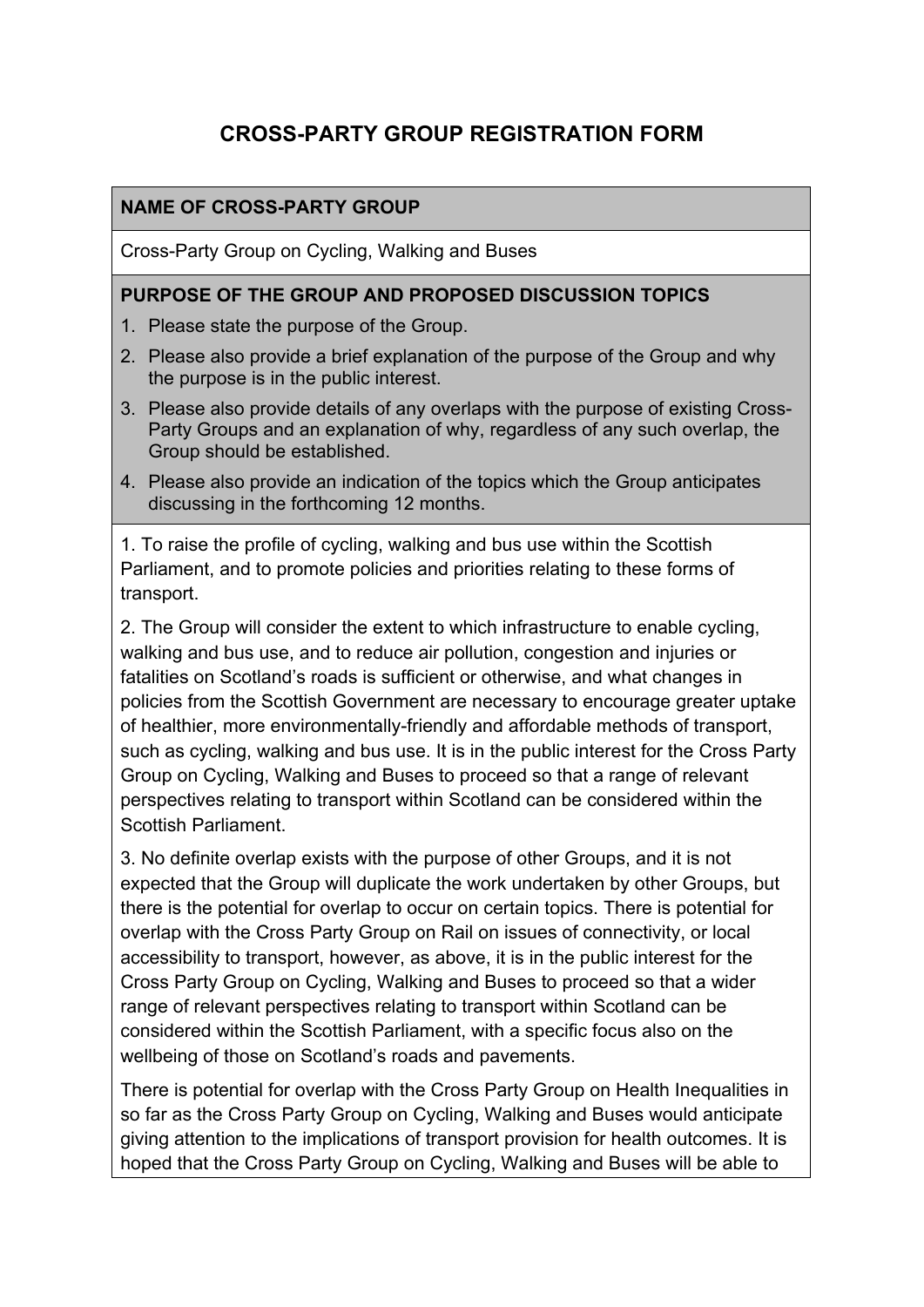# **CROSS-PARTY GROUP REGISTRATION FORM**

### **NAME OF CROSS-PARTY GROUP**

Cross-Party Group on Cycling, Walking and Buses

### **PURPOSE OF THE GROUP AND PROPOSED DISCUSSION TOPICS**

- 1. Please state the purpose of the Group.
- 2. Please also provide a brief explanation of the purpose of the Group and why the purpose is in the public interest.
- 3. Please also provide details of any overlaps with the purpose of existing Cross-Party Groups and an explanation of why, regardless of any such overlap, the Group should be established.
- 4. Please also provide an indication of the topics which the Group anticipates discussing in the forthcoming 12 months.

1. To raise the profile of cycling, walking and bus use within the Scottish Parliament, and to promote policies and priorities relating to these forms of transport.

2. The Group will consider the extent to which infrastructure to enable cycling, walking and bus use, and to reduce air pollution, congestion and injuries or fatalities on Scotland's roads is sufficient or otherwise, and what changes in policies from the Scottish Government are necessary to encourage greater uptake of healthier, more environmentally-friendly and affordable methods of transport, such as cycling, walking and bus use. It is in the public interest for the Cross Party Group on Cycling, Walking and Buses to proceed so that a range of relevant perspectives relating to transport within Scotland can be considered within the Scottish Parliament.

3. No definite overlap exists with the purpose of other Groups, and it is not expected that the Group will duplicate the work undertaken by other Groups, but there is the potential for overlap to occur on certain topics. There is potential for overlap with the Cross Party Group on Rail on issues of connectivity, or local accessibility to transport, however, as above, it is in the public interest for the Cross Party Group on Cycling, Walking and Buses to proceed so that a wider range of relevant perspectives relating to transport within Scotland can be considered within the Scottish Parliament, with a specific focus also on the wellbeing of those on Scotland's roads and pavements.

There is potential for overlap with the Cross Party Group on Health Inequalities in so far as the Cross Party Group on Cycling, Walking and Buses would anticipate giving attention to the implications of transport provision for health outcomes. It is hoped that the Cross Party Group on Cycling, Walking and Buses will be able to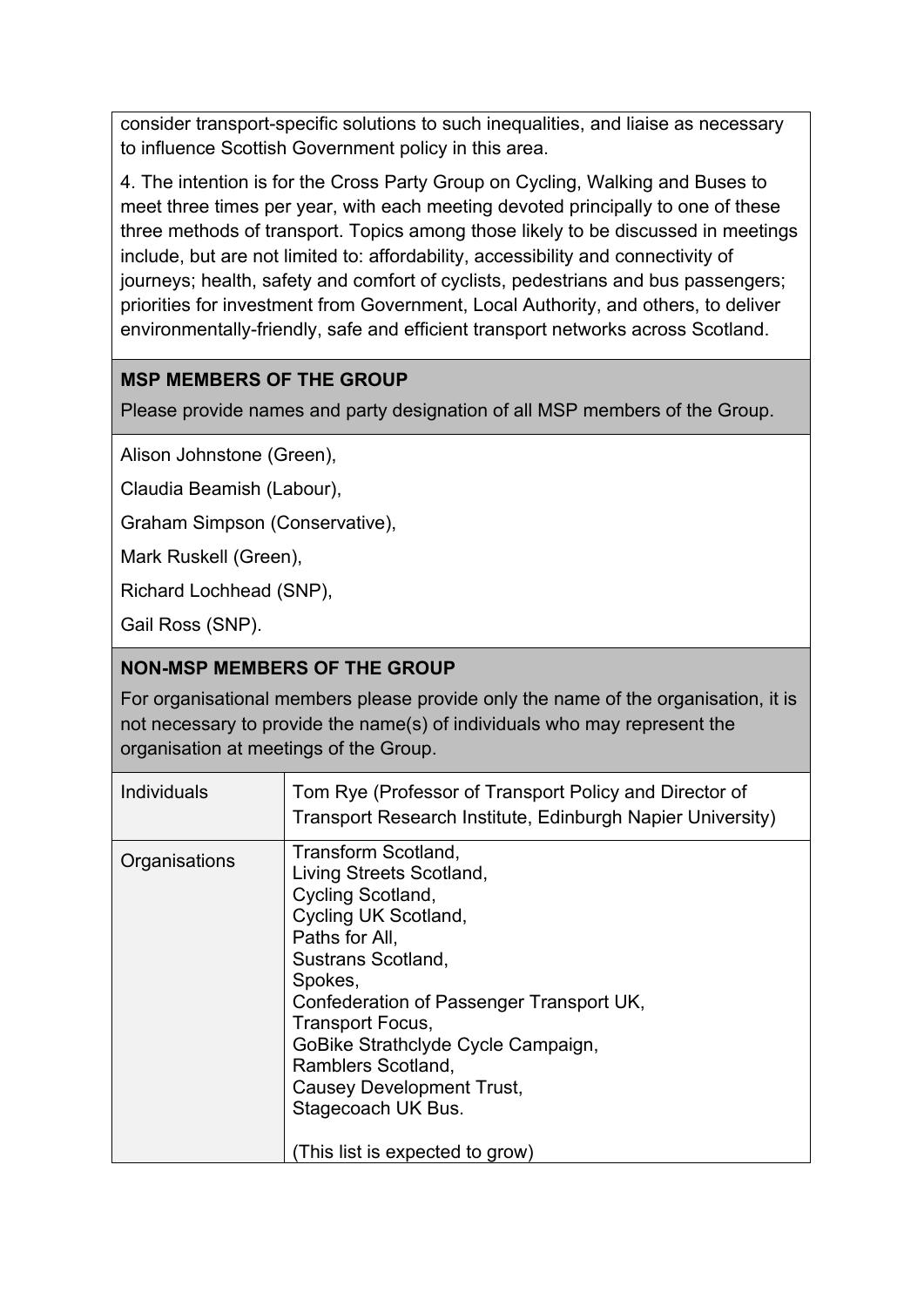consider transport-specific solutions to such inequalities, and liaise as necessary to influence Scottish Government policy in this area.

4. The intention is for the Cross Party Group on Cycling, Walking and Buses to meet three times per year, with each meeting devoted principally to one of these three methods of transport. Topics among those likely to be discussed in meetings include, but are not limited to: affordability, accessibility and connectivity of journeys; health, safety and comfort of cyclists, pedestrians and bus passengers; priorities for investment from Government, Local Authority, and others, to deliver environmentally-friendly, safe and efficient transport networks across Scotland.

# **MSP MEMBERS OF THE GROUP**

Please provide names and party designation of all MSP members of the Group.

Alison Johnstone (Green),

Claudia Beamish (Labour),

Graham Simpson (Conservative),

Mark Ruskell (Green),

Richard Lochhead (SNP),

Gail Ross (SNP).

### **NON-MSP MEMBERS OF THE GROUP**

For organisational members please provide only the name of the organisation, it is not necessary to provide the name(s) of individuals who may represent the organisation at meetings of the Group.

| <b>Individuals</b><br>Tom Rye (Professor of Transport Policy and Director of                                                                                                                                                                                                                                                                                                                     |  |
|--------------------------------------------------------------------------------------------------------------------------------------------------------------------------------------------------------------------------------------------------------------------------------------------------------------------------------------------------------------------------------------------------|--|
| Transport Research Institute, Edinburgh Napier University)                                                                                                                                                                                                                                                                                                                                       |  |
| Transform Scotland,<br>Organisations<br>Living Streets Scotland,<br>Cycling Scotland,<br>Cycling UK Scotland,<br>Paths for All,<br><b>Sustrans Scotland,</b><br>Spokes,<br>Confederation of Passenger Transport UK,<br>Transport Focus,<br>GoBike Strathclyde Cycle Campaign,<br>Ramblers Scotland,<br><b>Causey Development Trust,</b><br>Stagecoach UK Bus.<br>(This list is expected to grow) |  |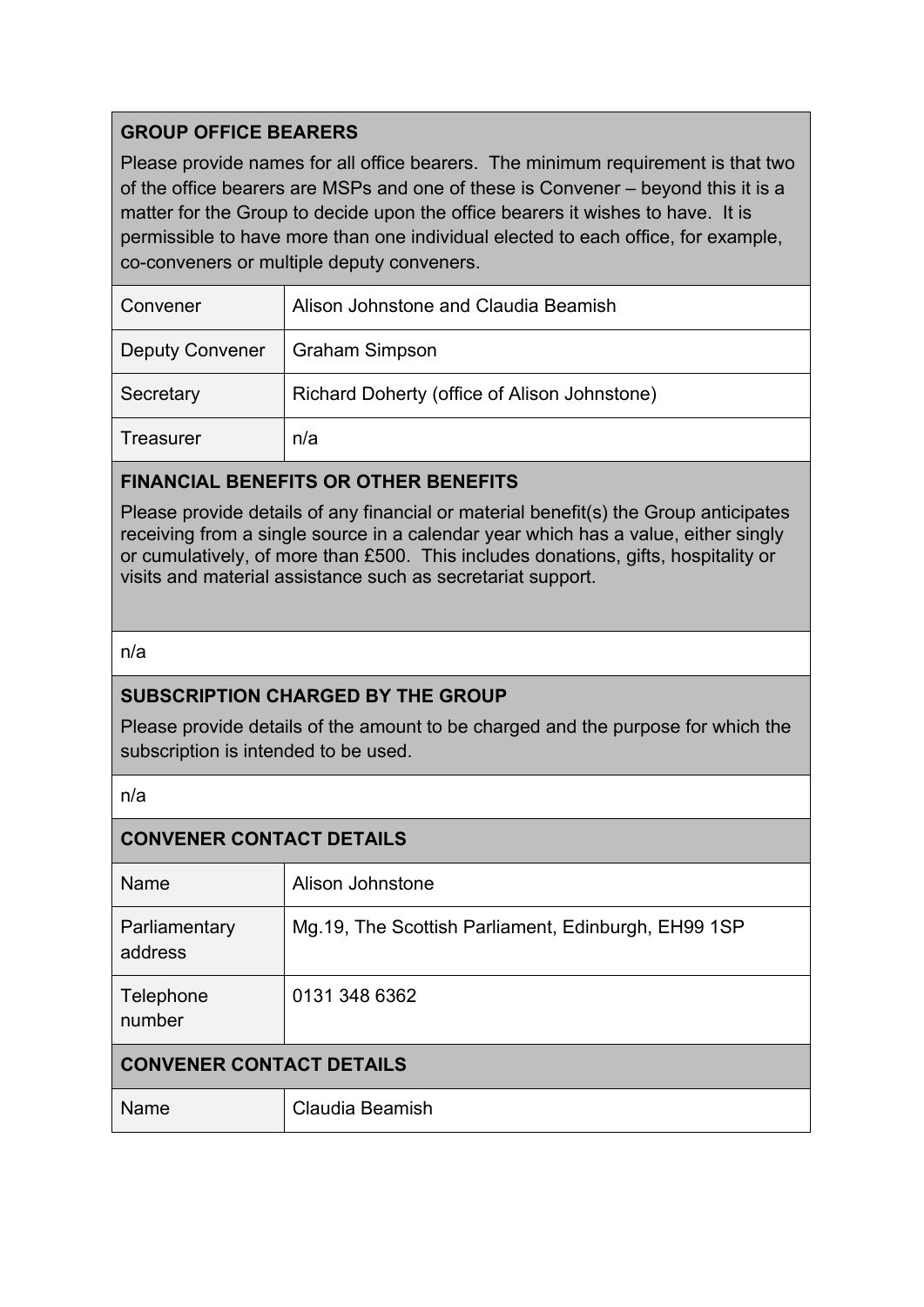# **GROUP OFFICE BEARERS**

Please provide names for all office bearers. The minimum requirement is that two of the office bearers are MSPs and one of these is Convener – beyond this it is a matter for the Group to decide upon the office bearers it wishes to have. It is permissible to have more than one individual elected to each office, for example, co-conveners or multiple deputy conveners.

| Convener               | Alison Johnstone and Claudia Beamish         |
|------------------------|----------------------------------------------|
| <b>Deputy Convener</b> | <b>Graham Simpson</b>                        |
| Secretary              | Richard Doherty (office of Alison Johnstone) |
| Treasurer              | n/a                                          |

# **FINANCIAL BENEFITS OR OTHER BENEFITS**

Please provide details of any financial or material benefit(s) the Group anticipates receiving from a single source in a calendar year which has a value, either singly or cumulatively, of more than £500. This includes donations, gifts, hospitality or visits and material assistance such as secretariat support.

### n/a

# **SUBSCRIPTION CHARGED BY THE GROUP**

Please provide details of the amount to be charged and the purpose for which the subscription is intended to be used.

n/a

| <b>CONVENER CONTACT DETAILS</b> |                                                      |  |  |
|---------------------------------|------------------------------------------------------|--|--|
| Name                            | Alison Johnstone                                     |  |  |
| Parliamentary<br>address        | Mg. 19, The Scottish Parliament, Edinburgh, EH99 1SP |  |  |
| Telephone<br>number             | 0131 348 6362                                        |  |  |
| <b>CONVENER CONTACT DETAILS</b> |                                                      |  |  |
| Name                            | Claudia Beamish                                      |  |  |